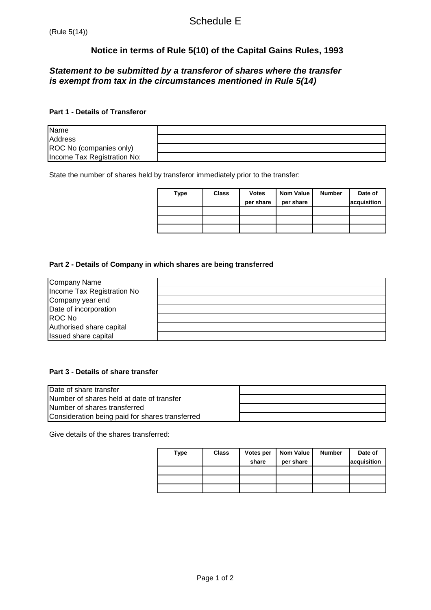# **Notice in terms of Rule 5(10) of the Capital Gains Rules, 1993**

# **Statement to be submitted by a transferor of shares where the transfer is exempt from tax in the circumstances mentioned in Rule 5(14)**

#### **Part 1 - Details of Transferor**

| Name                        |  |
|-----------------------------|--|
| <b>Address</b>              |  |
| ROC No (companies only)     |  |
| Income Tax Registration No: |  |

State the number of shares held by transferor immediately prior to the transfer:

| Type | <b>Class</b> | <b>Votes</b><br>per share | <b>Nom Value</b><br>per share | <b>Number</b> | Date of<br>acquisition |
|------|--------------|---------------------------|-------------------------------|---------------|------------------------|
|      |              |                           |                               |               |                        |
|      |              |                           |                               |               |                        |
|      |              |                           |                               |               |                        |

### **Part 2 - Details of Company in which shares are being transferred**

| Company Name                |  |
|-----------------------------|--|
| Income Tax Registration No  |  |
| Company year end            |  |
| Date of incorporation       |  |
| ROC No                      |  |
| Authorised share capital    |  |
| <b>Issued share capital</b> |  |

### **Part 3 - Details of share transfer**

| Date of share transfer                          |  |
|-------------------------------------------------|--|
| Number of shares held at date of transfer       |  |
| <b>INumber of shares transferred</b>            |  |
| Consideration being paid for shares transferred |  |

Give details of the shares transferred:

| Type | <b>Class</b> | Votes per<br>share | <b>Nom Value</b><br>per share | <b>Number</b> | Date of<br>acquisition |
|------|--------------|--------------------|-------------------------------|---------------|------------------------|
|      |              |                    |                               |               |                        |
|      |              |                    |                               |               |                        |
|      |              |                    |                               |               |                        |